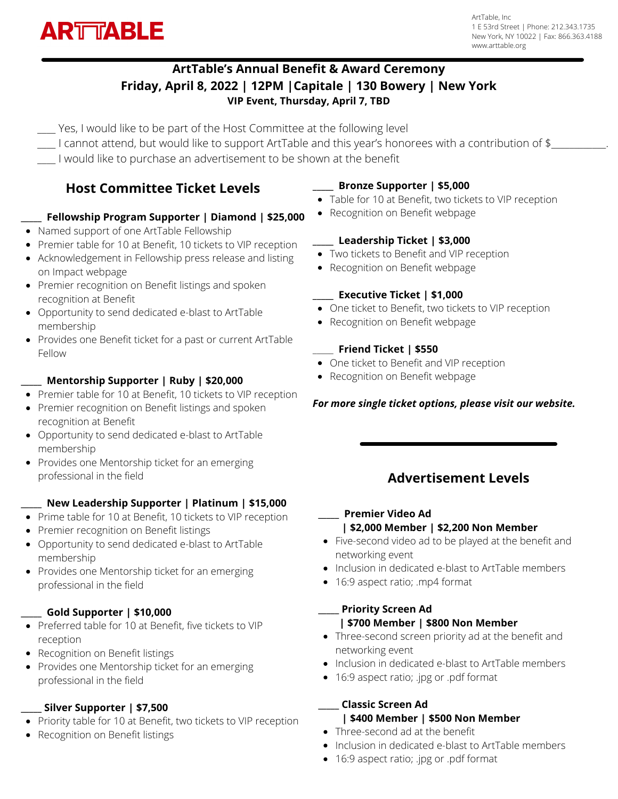

ArtTable, Inc 1 E 53rd Street | Phone: 212.343.1735 New York, NY 10022 | Fax: 866.363.4188 www.arttable.org

## **ArtTable's Annual Benefit & Award Ceremony Friday, April 8, 2022 | 12PM |Capitale | 130 Bowery | New York VIP Event, Thursday, April 7, TBD**

\_\_\_\_ Yes, I would like to be part of the Host Committee at the following level

- $\Box$  I cannot attend, but would like to support ArtTable and this year's honorees with a contribution of \$ $\Box$
- I would like to purchase an advertisement to be shown at the benefit

# **Host Committee Ticket Levels**

#### **\_\_\_\_\_ Fellowship Program Supporter | Diamond | \$25,000**

- Named support of one ArtTable Fellowship
- Premier table for 10 at Benefit, 10 tickets to VIP reception
- Acknowledgement in Fellowship press release and listing on Impact webpage
- Premier recognition on Benefit listings and spoken recognition at Benefit
- Opportunity to send dedicated e-blast to ArtTable membership
- Provides one Benefit ticket for a past or current ArtTable Fellow

#### **\_\_\_\_\_ Mentorship Supporter | Ruby | \$20,000**

- Premier table for 10 at Benefit, 10 tickets to VIP reception
- Premier recognition on Benefit listings and spoken recognition at Benefit
- Opportunity to send dedicated e-blast to ArtTable membership
- Provides one Mentorship ticket for an emerging professional in the field

#### **\_\_\_\_\_ New Leadership Supporter | Platinum | \$15,000**

- Prime table for 10 at Benefit, 10 tickets to VIP reception
- Premier recognition on Benefit listings
- Opportunity to send dedicated e-blast to ArtTable membership
- Provides one Mentorship ticket for an emerging professional in the field

## **\_\_\_\_\_ Gold Supporter | \$10,000**

- Preferred table for 10 at Benefit, five tickets to VIP reception
- Recognition on Benefit listings
- Provides one Mentorship ticket for an emerging professional in the field

## **\_\_\_\_\_ Silver Supporter | \$7,500**

- Priority table for 10 at Benefit, two tickets to VIP reception
- Recognition on Benefit listings

## **\_\_\_\_\_ Bronze Supporter | \$5,000**

- Table for 10 at Benefit, two tickets to VIP reception
- Recognition on Benefit webpage

## **\_\_\_\_\_ Leadership Ticket | \$3,000**

- Two tickets to Benefit and VIP reception
- Recognition on Benefit webpage

## **\_\_\_\_\_ Executive Ticket | \$1,000**

- One ticket to Benefit, two tickets to VIP reception
- Recognition on Benefit webpage

## \_\_\_\_\_ **Friend Ticket | \$550**

- One ticket to Benefit and VIP reception
- Recognition on Benefit webpage

## *For more single ticket options, please visit our website.*

# **Advertisement Levels**

#### **\_\_\_\_\_ Premier Video Ad | \$2,000 Member | \$2,200 Non Member**

- Five-second video ad to be played at the benefit and networking event
- Inclusion in dedicated e-blast to ArtTable members
- 16:9 aspect ratio; .mp4 format

#### **\_\_\_\_\_ Priority Screen Ad | \$700 Member | \$800 Non Member**

- Three-second screen priority ad at the benefit and networking event
- Inclusion in dedicated e-blast to ArtTable members
- 16:9 aspect ratio; .jpg or .pdf format

#### **\_\_\_\_\_ Classic Screen Ad | \$400 Member | \$500 Non Member**

- Three-second ad at the benefit
- Inclusion in dedicated e-blast to ArtTable members
- 16:9 aspect ratio; .jpg or .pdf format